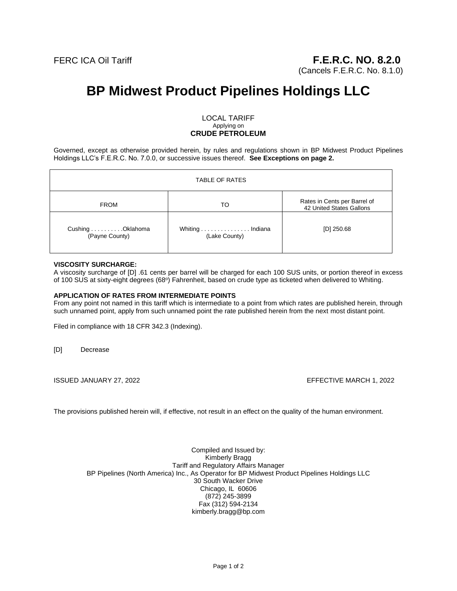(Cancels F.E.R.C. No. 8.1.0)

# **BP Midwest Product Pipelines Holdings LLC**

#### LOCAL TARIFF Applying on **CRUDE PETROLEUM**

Governed, except as otherwise provided herein, by rules and regulations shown in BP Midwest Product Pipelines Holdings LLC's F.E.R.C. No. 7.0.0, or successive issues thereof. **See Exceptions on page 2.**

| <b>TABLE OF RATES</b>              |                                  |                                                          |
|------------------------------------|----------------------------------|----------------------------------------------------------|
| <b>FROM</b>                        | то                               | Rates in Cents per Barrel of<br>42 United States Gallons |
| Cushing Oklahoma<br>(Payne County) | Whiting Indiana<br>(Lake County) | $[D]$ 250.68                                             |

#### **VISCOSITY SURCHARGE:**

A viscosity surcharge of [D] .61 cents per barrel will be charged for each 100 SUS units, or portion thereof in excess of 100 SUS at sixty-eight degrees (68°) Fahrenheit, based on crude type as ticketed when delivered to Whiting.

### **APPLICATION OF RATES FROM INTERMEDIATE POINTS**

From any point not named in this tariff which is intermediate to a point from which rates are published herein, through such unnamed point, apply from such unnamed point the rate published herein from the next most distant point.

Filed in compliance with 18 CFR 342.3 (Indexing).

[D] Decrease

ISSUED JANUARY 27, 2022 EFFECTIVE MARCH 1, 2022

The provisions published herein will, if effective, not result in an effect on the quality of the human environment.

Compiled and Issued by: Kimberly Bragg Tariff and Regulatory Affairs Manager BP Pipelines (North America) Inc., As Operator for BP Midwest Product Pipelines Holdings LLC 30 South Wacker Drive Chicago, IL 60606 (872) 245-3899 Fax (312) 594-2134 kimberly.bragg@bp.com